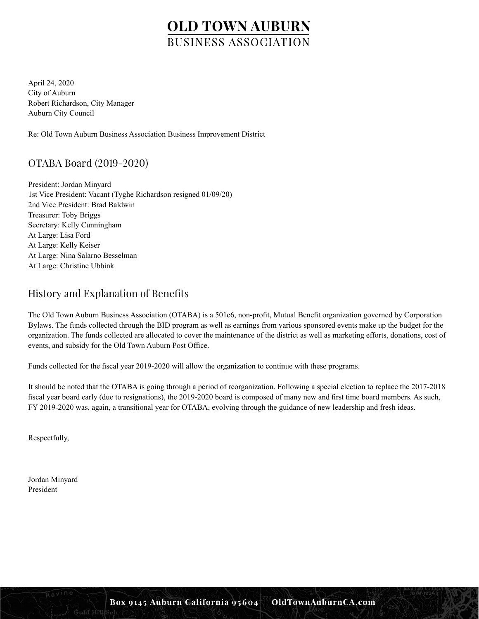April 24, 2020 City of Auburn Robert Richardson, City Manager Auburn City Council

Re: Old Town Auburn Business Association Business Improvement District

## OTABA Board (2019-2020)

President: Jordan Minyard 1st Vice President: Vacant (Tyghe Richardson resigned 01/09/20) 2nd Vice President: Brad Baldwin Treasurer: Toby Briggs Secretary: Kelly Cunningham At Large: Lisa Ford At Large: Kelly Keiser At Large: Nina Salarno Besselman At Large: Christine Ubbink

## History and Explanation of Benefits

The Old Town Auburn Business Association (OTABA) is a 501c6, non-profit, Mutual Benefit organization governed by Corporation Bylaws. The funds collected through the BID program as well as earnings from various sponsored events make up the budget for the organization. The funds collected are allocated to cover the maintenance of the district as well as marketing efforts, donations, cost of events, and subsidy for the Old Town Auburn Post Office.

Funds collected for the fiscal year 2019-2020 will allow the organization to continue with these programs.

It should be noted that the OTABA is going through a period of reorganization. Following a special election to replace the 2017-2018 fiscal year board early (due to resignations), the 2019-2020 board is composed of many new and first time board members. As such, FY 2019-2020 was, again, a transitional year for OTABA, evolving through the guidance of new leadership and fresh ideas.

Respectfully,

Jordan Minyard President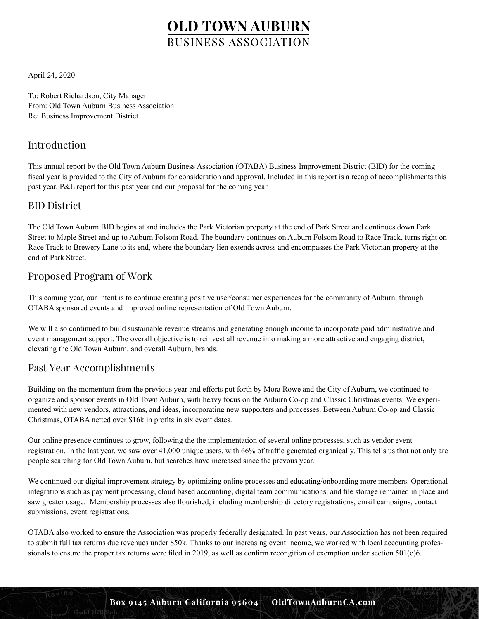April 24, 2020

To: Robert Richardson, City Manager From: Old Town Auburn Business Association Re: Business Improvement District

## Introduction

This annual report by the Old Town Auburn Business Association (OTABA) Business Improvement District (BID) for the coming fiscal year is provided to the City of Auburn for consideration and approval. Included in this report is a recap of accomplishments this past year, P&L report for this past year and our proposal for the coming year.

### BID District

The Old Town Auburn BID begins at and includes the Park Victorian property at the end of Park Street and continues down Park Street to Maple Street and up to Auburn Folsom Road. The boundary continues on Auburn Folsom Road to Race Track, turns right on Race Track to Brewery Lane to its end, where the boundary lien extends across and encompasses the Park Victorian property at the end of Park Street.

## Proposed Program of Work

This coming year, our intent is to continue creating positive user/consumer experiences for the community of Auburn, through OTABA sponsored events and improved online representation of Old Town Auburn.

We will also continued to build sustainable revenue streams and generating enough income to incorporate paid administrative and event management support. The overall objective is to reinvest all revenue into making a more attractive and engaging district, elevating the Old Town Auburn, and overall Auburn, brands.

### Past Year Accomplishments

Building on the momentum from the previous year and efforts put forth by Mora Rowe and the City of Auburn, we continued to organize and sponsor events in Old Town Auburn, with heavy focus on the Auburn Co-op and Classic Christmas events. We experimented with new vendors, attractions, and ideas, incorporating new supporters and processes. Between Auburn Co-op and Classic Christmas, OTABA netted over \$16k in profits in six event dates.

Our online presence continues to grow, following the the implementation of several online processes, such as vendor event registration. In the last year, we saw over 41,000 unique users, with 66% of traffic generated organically. This tells us that not only are people searching for Old Town Auburn, but searches have increased since the prevous year.

We continued our digital improvement strategy by optimizing online processes and educating/onboarding more members. Operational integrations such as payment processing, cloud based accounting, digital team communications, and file storage remained in place and saw greater usage. Membership processes also flourished, including membership directory registrations, email campaigns, contact submissions, event registrations.

OTABA also worked to ensure the Association was properly federally designated. In past years, our Association has not been required to submit full tax returns due revenues under \$50k. Thanks to our increasing event income, we worked with local accounting professionals to ensure the proper tax returns were filed in 2019, as well as confirm recongition of exemption under section 501(c)6.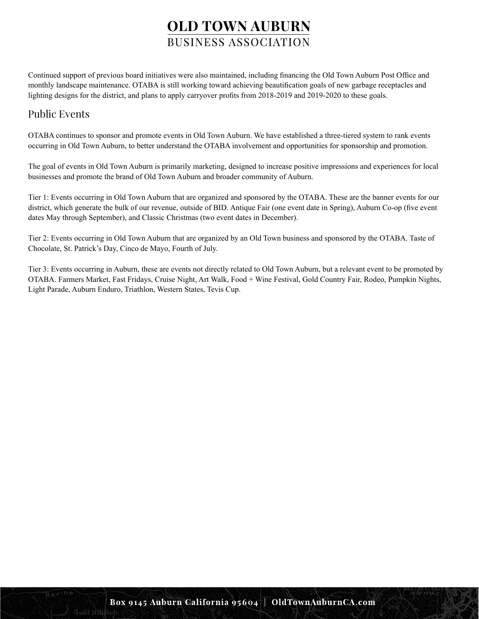Continued support of previous board initiatives were also maintained, including financing the Old Town Auburn Post Office and monthly landscape maintenance. OTABA is still working toward achieving beautification goals of new garbage receptacles and lighting designs for the district, and plans to apply carryover profits from 2018-2019 and 2019-2020 to these goals.

### Public Events

OTABA continues to sponsor and promote events in Old Town Auburn. We have established a three-tiered system to rank events occurring in Old Town Auburn, to better understand the OTABA involvement and opportunities for sponsorship and promotion.

The goal of events in Old Town Auburn is primarily marketing, designed to increase positive impressions and experiences for local businesses and promote the brand of Old Town Auburn and broader community of Auburn.

Tier 1: Events occurring in Old Town Auburn that are organized and sponsored by the OTABA. These are the banner events for our district, which generate the bulk of our revenue, outside of BID. Antique Fair (one event date in Spring), Auburn Co-op (five event dates May through September), and Classic Christmas (two event dates in December).

Tier 2: Events occurring in Old Town Auburn that are organized by an Old Town business and sponsored by the OTABA. Taste of Chocolate, St. Patrick's Day, Cinco de Mayo, Fourth of July.

Tier 3: Events occurring in Auburn, these are events not directly related to Old Town Auburn, but a relevant event to be promoted by OTABA. Farmers Market, Fast Fridays, Cruise Night, Art Walk, Food + Wine Festival, Gold Country Fair, Rodeo, Pumpkin Nights, Light Parade, Auburn Enduro, Triathlon, Western States, Tevis Cup.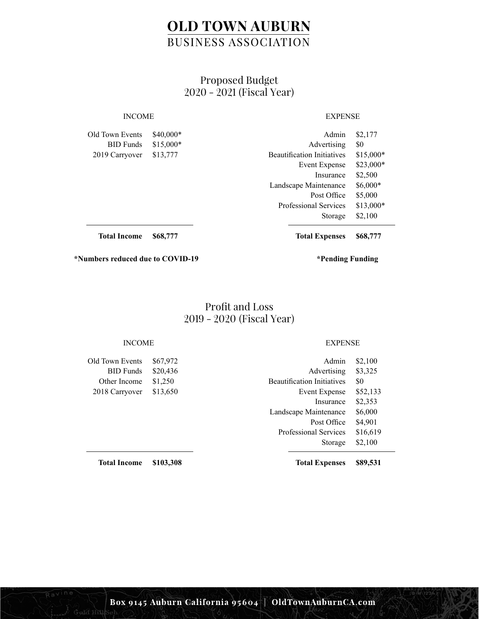### Proposed Budget 2020 - 2021 (Fiscal Year)

### INCOME EXPENSE

Old Town Events BID Funds 2019 Carryover \$40,000\* \$15,000\* \$13,777

| Admin                             | \$2,177   |
|-----------------------------------|-----------|
| Advertising                       | \$0       |
| <b>Beautification Initiatives</b> | \$15,000* |
| <b>Event Expense</b>              | \$23,000* |
| Insurance                         | \$2,500   |
| Landscape Maintenance             | \$6,000*  |
| Post Office                       | \$5,000   |
| <b>Professional Services</b>      | \$13,000* |
| Storage                           | \$2,100   |

**Total Income \$68,777** **Total Expenses \$68,777**

**\*Numbers reduced due to COVID-19 \*Pending Funding**

### Profit and Loss 2019 - 2020 (Fiscal Year)

Old Town Events BID Funds Other Income 2018 Carryover \$67,972 \$20,436 \$1,250 \$13,650

INCOME EXPENSE

| Admin                             | \$2,100  |
|-----------------------------------|----------|
| Advertising                       | \$3,325  |
| <b>Beautification Initiatives</b> | \$0      |
| <b>Event Expense</b>              | \$52,133 |
| Insurance                         | \$2,353  |
| Landscape Maintenance             | \$6,000  |
| Post Office                       | \$4,901  |
| <b>Professional Services</b>      | \$16,619 |
| Storage                           | \$2,100  |
|                                   |          |

**Total Expenses \$89,531**

**Total Income \$103,308**

Gald Hill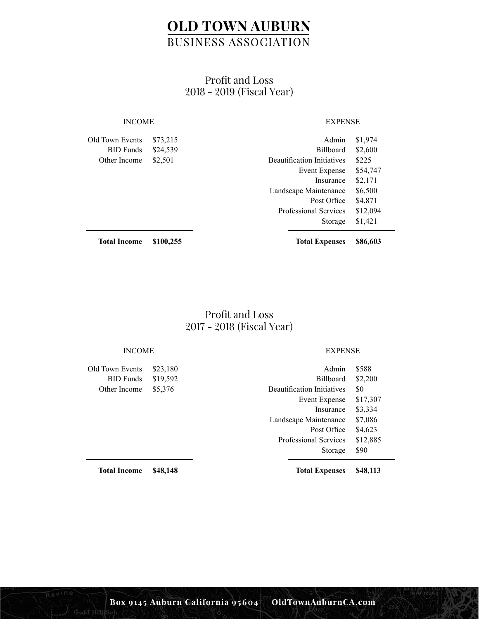## Profit and Loss 2018 - 2019 (Fiscal Year)

### Old Town Events BID Funds Other Income \$73,215 \$24,539 \$2,501

### INCOME EXPENSE

| \$4,871<br>Post Office | Admin<br><b>Billboard</b><br><b>Beautification Initiatives</b><br>Event Expense<br>Insurance | \$1,974<br>\$2,600<br>\$225<br>\$54,747<br>\$2,171 |
|------------------------|----------------------------------------------------------------------------------------------|----------------------------------------------------|
| \$1,421                | Landscape Maintenance                                                                        | \$6,500                                            |
| Storage                | <b>Professional Services</b>                                                                 | \$12,094                                           |

**Total Income \$100,255**

**Total Expenses \$86,603**

### Profit and Loss 2017 - 2018 (Fiscal Year)

### INCOME EXPENSE

Old Town Events BID Funds Other Income \$23,180 \$19,592 \$5,376

| Admin                             | \$588    |
|-----------------------------------|----------|
| <b>Billboard</b>                  | \$2,200  |
| <b>Beautification Initiatives</b> | \$0      |
| <b>Event Expense</b>              | \$17,307 |
| Insurance                         | \$3,334  |
| Landscape Maintenance             | \$7,086  |
| Post Office                       | \$4,623  |
| <b>Professional Services</b>      | \$12,885 |
| Storage                           | \$90     |
|                                   |          |

**Total Expenses \$48,113**

**Total Income \$48,148**

Gald Hill